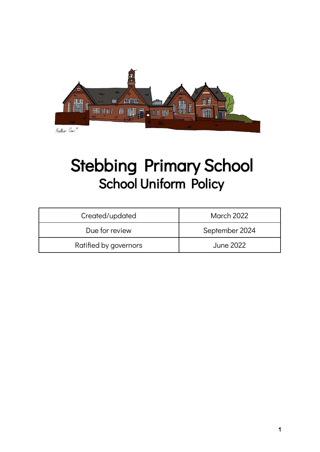

# Stebbing Primary School School Uniform Policy

| Created/updated       | March 2022       |
|-----------------------|------------------|
| Due for review        | September 2024   |
| Ratified by governors | <b>June 2022</b> |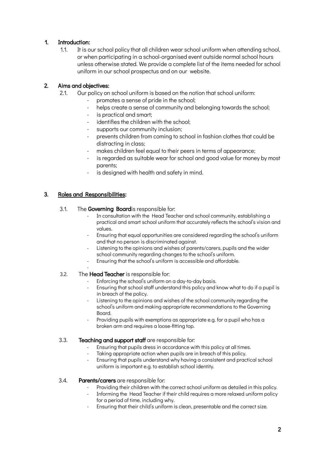# 1. Introduction:

1.1. It is our school policy that all children wear school uniform when attending school, or when participating in a school-organised event outside normal school hours unless otherwise stated. We provide a complete list of the items needed for school uniform in our school prospectus and on our website.

# 2. Aims and objectives:

- 2.1. Our policy on school uniform is based on the notion that school uniform:
	- promotes a sense of pride in the school;
	- helps create a sense of community and belonging towards the school;
	- is practical and smart;
	- identifies the children with the school:
	- supports our community inclusion;
	- prevents children from coming to school in fashion clothes that could be distracting in class;
	- makes children feel equal to their peers in terms of appearance;
	- is regarded as suitable wear for school and good value for money by most parents;
	- is designed with health and safety in mind.

# 3. Roles and Responsibilities:

# 3.1. The Governing Boardis responsible for:

- In consultation with the Head Teacher and school community, establishing a practical and smart school uniform that accurately reflects the school's vision and values.
- Ensuring that equal opportunities are considered regarding the school's uniform and that no person is discriminated against.
- Listening to the opinions and wishes of parents/carers, pupils and the wider school community regarding changes to the school's uniform.
- Ensuring that the school's uniform is accessible and affordable.
	-

#### - 3.2. The Head Teacher is responsible for:

- Enforcing the school's uniform on a day-to-day basis.
- Ensuring that school staff understand this policy and know what to do if a pupil is in breach of the policy.
- Listening to the opinions and wishes of the school community regarding the school's uniform and making appropriate recommendations to the Governing Board.
- Providing pupils with exemptions as appropriate e.g. for a pupil who has a broken arm and requires a loose-fitting top.

# 3.3. **Teaching and support staff** are responsible for:

- Ensuring that pupils dress in accordance with this policy at all times.
- Taking appropriate action when pupils are in breach of this policy.
- Ensuring that pupils understand why having a consistent and practical school uniform is important e.g. to establish school identity.

# 3.4. Parents/carers are responsible for:

- Providing their children with the correct school uniform as detailed in this policy.
- Informing the Head Teacher if their child requires a more relaxed uniform policy for a period of time, including why.
- Ensuring that their child's uniform is clean, presentable and the correct size.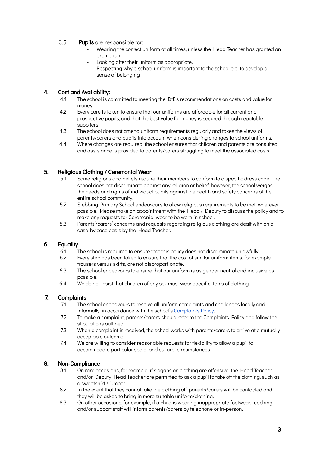# 3.5. Pupils are responsible for:

- Wearing the correct uniform at all times, unless the Head Teacher has granted an exemption.
- Looking after their uniform as appropriate.
- Respecting why a school uniform is important to the school e.g. to develop a sense of belonging

# 4. Cost and Availability:

- 4.1. The school is committed to meeting the DfE's recommendations on costs and value for money.
- 4.2. Every care is taken to ensure that our uniforms are affordable for all current and prospective pupils, and that the best value for money is secured through reputable suppliers.
- 4.3. The school does not amend uniform requirements regularly and takes the views of parents/carers and pupils into account when considering changes to school uniforms.
- 4.4. Where changes are required, the school ensures that children and parents are consulted and assistance is provided to parents/carers struggling to meet the associated costs

# 5. Religious Clothing / Ceremonial Wear

- 5.1. Some religions and beliefs require their members to conform to a specific dress code. The school does not discriminate against any religion or belief; however, the school weighs the needs and rights of individual pupils against the health and safety concerns of the entire school community.
- 5.2. Stebbing Primary School endeavours to allow religious requirements to be met, wherever possible. Please make an appointment with the Head / Deputy to discuss the policy and to make any requests for Ceremonial wear to be worn in school.
- 5.3. Parents'/carers' concerns and requests regarding religious clothing are dealt with on a case-by case basis by the Head Teacher.

# 6. Equality

- 6.1. The school is required to ensure that this policy does not discriminate unlawfully.
- 6.2. Every step has been taken to ensure that the cost of similar uniform items, for example, trousers versus skirts, are not disproportionate.
- 6.3. The school endeavours to ensure that our uniform is as gender neutral and inclusive as possible.
- 6.4. We do not insist that children of any sex must wear specific items of clothing.

# 7. Complaints

- 7.1. The school endeavours to resolve all uniform complaints and challenges locally and informally, in accordance with the school's [Complaints Policy.](https://stebbingprimary.co.uk/wp-content/uploads/2018/04/Complaints-Policy-and-Procedure-June-2021.pdf)
- 7.2. To make a complaint, parents/carers should refer to the Complaints Policy and follow the stipulations outlined.
- 7.3. When a complaint is received, the school works with parents/carers to arrive at a mutually acceptable outcome.
- 7.4. We are willing to consider reasonable requests for flexibility to allow a pupil to accommodate particular social and cultural circumstances

#### 8. Non-Compliance

- 8.1. On rare occasions, for example, if slogans on clothing are offensive, the Head Teacher and/or Deputy Head Teacher are permitted to ask a pupil to take off the clothing, such as a sweatshirt / jumper.
- 8.2. In the event that they cannot take the clothing off, parents/carers will be contacted and they will be asked to bring in more suitable uniform/clothing.
- 8.3. On other occasions, for example, if a child is wearing inappropriate footwear, teaching and/or support staff will inform parents/carers by telephone or in-person.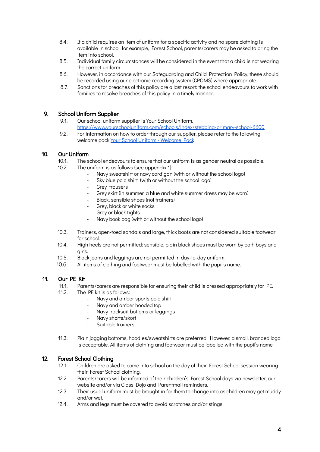- 8.4. If a child requires an item of uniform for a specific activity and no spare clothing is available in school, for example, Forest School, parents/carers may be asked to bring the item into school.
- 8.5. Individual family circumstances will be considered in the event that a child is not wearing the correct uniform.
- 8.6. However, in accordance with our Safeguarding and Child Protection Policy, these should be recorded using our electronic recording system (CPOMS) where appropriate.
- 8.7. Sanctions for breaches of this policy are a last resort: the school endeavours to work with families to resolve breaches of this policy in a timely manner.

### 9. School Uniform Supplier

- 9.1. Our school uniform supplier is Your School Uniform. <https://www.yourschooluniform.com/schools/index/stebbing-primary-school-6600>
- 9.2. For information on how to order through our supplier, please refer to the following welcome pack [Your School Uniform - Welcome Pack.](https://www.yourschooluniform.com/uploaded_files/school_files/WelcomePackLetterforParents-UpdatedVersion.pdf)

### 10. Our Uniform

- 10.1. The school endeavours to ensure that our uniform is as gender neutral as possible.
- 10.2. The uniform is as follows (see appendix 1):
	- Navy sweatshirt or navy cardigan (with or without the school logo)
	- Sky blue polo shirt (with or without the school logo)
	- Grey trousers
	- Grey skirt (in summer, a blue and white summer dress may be worn)
	- Black, sensible shoes (not trainers)
	- Grey, black or white socks
	- Grey or black tights
	- Navy book bag (with or without the school logo)
- 10.3. Trainers, open-toed sandals and large, thick boots are not considered suitable footwear for school.
- 10.4. High heels are not permitted: sensible, plain black shoes must be worn by both boys and girls.
- 10.5. Black jeans and leggings are not permitted in day-to-day uniform.
- 10.6. All items of clothing and footwear must be labelled with the pupil's name.

#### 11. Our PE Kit

- 11.1. Parents/carers are responsible for ensuring their child is dressed appropriately for PE.
- 11.2. The PE kit is as follows:
	- Navy and amber sports polo shirt
	- Navy and amber hooded top
	- Navy tracksuit bottoms or leggings
	- Navy shorts/skort
	- Suitable trainers
- 11.3. Plain jogging bottoms, hoodies/sweatshirts are preferred. However, a small, branded logo is acceptable. All items of clothing and footwear must be labelled with the pupil's name

# 12. Forest School Clothing

- 12.1. Children are asked to come into school on the day of their Forest School session wearing their Forest School clothing.
- 12.2. Parents/carers will be informed of their children's Forest School days via newsletter, our website and/or via Class Dojo and Parentmail reminders.
- 12.3. Their usual uniform must be brought in for them to change into as children may get muddy and/or wet.
- 12.4. Arms and legs must be covered to avoid scratches and/or stings.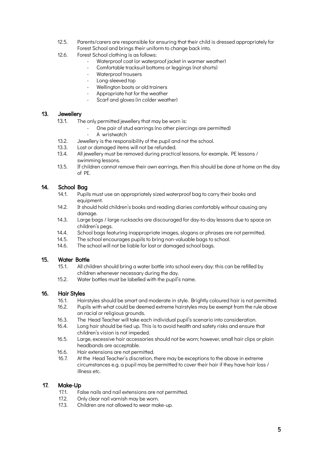- 12.5. Parents/carers are responsible for ensuring that their child is dressed appropriately for Forest School and brings their uniform to change back into.
- 12.6. Forest School clothing is as follows:
	- Waterproof coat (or waterproof jacket in warmer weather)
	- Comfortable tracksuit bottoms or leggings (not shorts)
	- Waterproof trousers
	- Long-sleeved top
	- Wellington boots or old trainers
	- Appropriate hat for the weather
	- Scarf and gloves (in colder weather)

# 13. Jewellery

- 13.1. The only permitted jewellery that may be worn is:
	- One pair of stud earrings (no other piercings are permitted)
	- A wristwatch
- 13.2. Jewellery is the responsibility of the pupil and not the school.
- 13.3. Lost or damaged items will not be refunded.
- 13.4. All jewellery must be removed during practical lessons, for example, PE lessons / swimming lessons.
- 13.5. If children cannot remove their own earrings, then this should be done at home on the day of PE.

### 14. School Bag

- 14.1. Pupils must use an appropriately sized waterproof bag to carry their books and equipment.
- 14.2. It should hold children's books and reading diaries comfortably without causing any damage.
- 14.3. Large bags / large rucksacks are discouraged for day-to-day lessons due to space on children's pegs.
- 14.4. School bags featuring inappropriate images, slogans or phrases are not permitted.
- 14.5. The school encourages pupils to bring non-valuable bags to school.
- 14.6. The school will not be liable for lost or damaged school bags.

#### 15. Water Bottle

- 15.1. All children should bring a water bottle into school every day: this can be refilled by children whenever necessary during the day.
- 15.2. Water bottles must be labelled with the pupil's name.

#### 16. Hair Styles

- 16.1. Hairstyles should be smart and moderate in style. Brightly coloured hair is not permitted.
- 16.2. Pupils with what could be deemed extreme hairstyles may be exempt from the rule above on racial or religious grounds.
- 16.3. The Head Teacher will take each individual pupil's scenario into consideration.
- 16.4. Long hair should be tied up. This is to avoid health and safety risks and ensure that children's vision is not impeded.
- 16.5. Large, excessive hair accessories should not be worn; however, small hair clips or plain headbands are acceptable.
- 16.6. Hair extensions are not permitted.
- 16.7. At the Head Teacher's discretion, there may be exceptions to the above in extreme circumstances e.g. a pupil may be permitted to cover their hair if they have hair loss / illness etc.

#### 17. Make-Up

- 17.1. False nails and nail extensions are not permitted.
- 17.2. Only clear nail varnish may be worn.
- 17.3. Children are not allowed to wear make-up.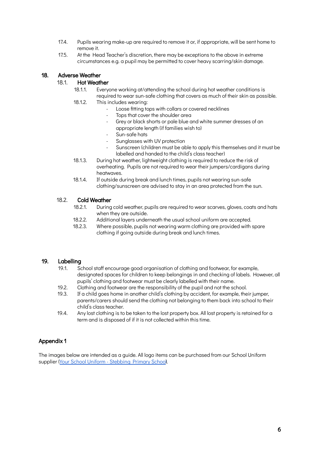- 17.4. Pupils wearing make-up are required to remove it or, if appropriate, will be sent home to remove it.
- 17.5. At the Head Teacher's discretion, there may be exceptions to the above in extreme circumstances e.g. a pupil may be permitted to cover heavy scarring/skin damage.

# 18. Adverse Weather

### 18.1. Hot Weather

18.1.1. Everyone working at/attending the school during hot weather conditions is required to wear sun-safe clothing that covers as much of their skin as possible.

- 18.1.2. This includes wearing:
	- Loose fitting tops with collars or covered necklines
		- Tops that cover the shoulder area
	- Grey or black shorts or pale blue and white summer dresses of an appropriate length (if families wish to)
	- Sun-safe hats
	- Sunglasses with UV protection
	- Sunscreen (children must be able to apply this themselves and it must be labelled and handed to the child's class teacher)
- 18.1.3. During hot weather, lightweight clothing is required to reduce the risk of overheating. Pupils are not required to wear their jumpers/cardigans during heatwaves.
- 18.1.4. If outside during break and lunch times, pupils not wearing sun-safe clothing/sunscreen are advised to stay in an area protected from the sun.

### 18.2. Cold Weather

- 18.2.1. During cold weather, pupils are required to wear scarves, gloves, coats and hats when they are outside.
- 18.2.2. Additional layers underneath the usual school uniform are accepted.
- 18.2.3. Where possible, pupils not wearing warm clothing are provided with spare clothing if going outside during break and lunch times.

# 19. Labelling

- 19.1. School staff encourage good organisation of clothing and footwear, for example, designated spaces for children to keep belongings in and checking of labels. However, all pupils' clothing and footwear must be clearly labelled with their name.
- 19.2. Clothing and footwear are the responsibility of the pupil and not the school.
- 19.3. If a child goes home in another child's clothing by accident, for example, their jumper, parents/carers should send the clothing not belonging to them back into school to their child's class teacher.
- 19.4. Any lost clothing is to be taken to the lost property box. All lost property is retained for a term and is disposed of if it is not collected within this time.

# Appendix 1

The images below are intended as a guide. All logo items can be purchased from our School Uniform supplier [\(Your School Uniform - Stebbing Primary School\)](https://www.yourschooluniform.com/schools/index/stebbing-primary-school-6600).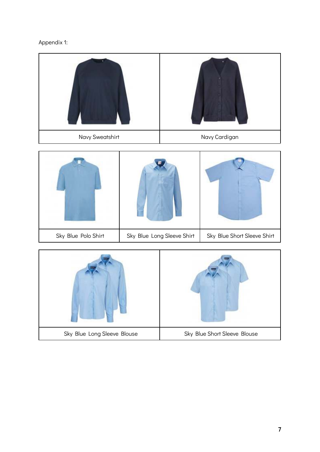

| Navy Sweatshirt     |                            | Navy Cardigan               |
|---------------------|----------------------------|-----------------------------|
|                     |                            |                             |
| Sky Blue Polo Shirt | Sky Blue Long Sleeve Shirt | Sky Blue Short Sleeve Shirt |

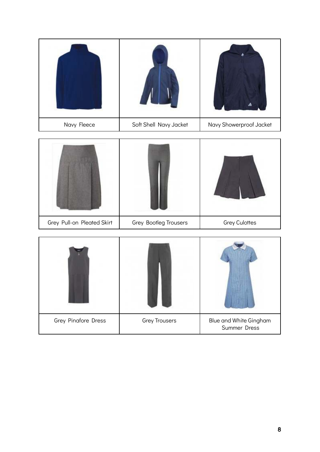| Navy Fleece | Soft Shell Navy Jacket | Navy Showerproof Jacket |
|-------------|------------------------|-------------------------|

| Grey Pull-on Pleated Skirt | Grey Bootleg Trousers | <b>Grey Culottes</b> |
|----------------------------|-----------------------|----------------------|